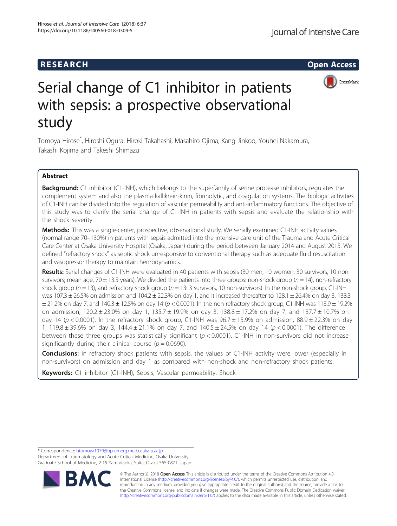## **RESEARCH CHE Open Access**



# Serial change of C1 inhibitor in patients with sepsis: a prospective observational study

Tomoya Hirose<sup>\*</sup>, Hiroshi Ogura, Hiroki Takahashi, Masahiro Ojima, Kang Jinkoo, Youhei Nakamura, Takashi Kojima and Takeshi Shimazu

## Abstract

Background: C1 inhibitor (C1-INH), which belongs to the superfamily of serine protease inhibitors, regulates the complement system and also the plasma kallikrein-kinin, fibrinolytic, and coagulation systems. The biologic activities of C1-INH can be divided into the regulation of vascular permeability and anti-inflammatory functions. The objective of this study was to clarify the serial change of C1-INH in patients with sepsis and evaluate the relationship with the shock severity.

Methods: This was a single-center, prospective, observational study. We serially examined C1-INH activity values (normal range 70–130%) in patients with sepsis admitted into the intensive care unit of the Trauma and Acute Critical Care Center at Osaka University Hospital (Osaka, Japan) during the period between January 2014 and August 2015. We defined "refractory shock" as septic shock unresponsive to conventional therapy such as adequate fluid resuscitation and vasopressor therapy to maintain hemodynamics.

Results: Serial changes of C1-INH were evaluated in 40 patients with sepsis (30 men, 10 women; 30 survivors, 10 nonsurvivors; mean age, 70  $\pm$  13.5 years). We divided the patients into three groups: non-shock group ( $n = 14$ ), non-refractory shock group ( $n = 13$ ), and refractory shock group ( $n = 13:3$  survivors, 10 non-survivors). In the non-shock group, C1-INH was 107.3  $\pm$  26.5% on admission and 104.2  $\pm$  22.3% on day 1, and it increased thereafter to 128.1  $\pm$  26.4% on day 3, 138.3  $\pm$  21.2% on day 7, and 140.3  $\pm$  12.5% on day 14 ( $p$  < 0.0001). In the non-refractory shock group, C1-INH was 113.9  $\pm$  19.2% on admission,  $120.2 \pm 23.0\%$  on day 1,  $135.7 \pm 19.9\%$  on day 3,  $138.8 \pm 17.2\%$  on day 7, and  $137.7 \pm 10.7\%$  on day 14 ( $p < 0.0001$ ). In the refractory shock group, C1-INH was  $96.7 \pm 15.9\%$  on admission,  $88.9 \pm 22.3\%$  on day 1, 119.8  $\pm$  39.6% on day 3, 144.4  $\pm$  21.1% on day 7, and 140.5  $\pm$  24.5% on day 14 (p < 0.0001). The difference between these three groups was statistically significant ( $p < 0.0001$ ). C1-INH in non-survivors did not increase significantly during their clinical course ( $p = 0.0690$ ).

**Conclusions:** In refractory shock patients with sepsis, the values of C1-INH activity were lower (especially in non-survivors) on admission and day 1 as compared with non-shock and non-refractory shock patients.

Keywords: C1 inhibitor (C1-INH), Sepsis, Vascular permeability, Shock

\* Correspondence: [htomoya1979@hp-emerg.med.osaka-u.ac.jp](mailto:htomoya1979@hp-emerg.med.osaka-u.ac.jp)

Department of Traumatology and Acute Critical Medicine, Osaka University Graduate School of Medicine, 2-15 Yamadaoka, Suita, Osaka 565-0871, Japan



© The Author(s). 2018 Open Access This article is distributed under the terms of the Creative Commons Attribution 4.0 International License [\(http://creativecommons.org/licenses/by/4.0/](http://creativecommons.org/licenses/by/4.0/)), which permits unrestricted use, distribution, and reproduction in any medium, provided you give appropriate credit to the original author(s) and the source, provide a link to the Creative Commons license, and indicate if changes were made. The Creative Commons Public Domain Dedication waiver [\(http://creativecommons.org/publicdomain/zero/1.0/](http://creativecommons.org/publicdomain/zero/1.0/)) applies to the data made available in this article, unless otherwise stated.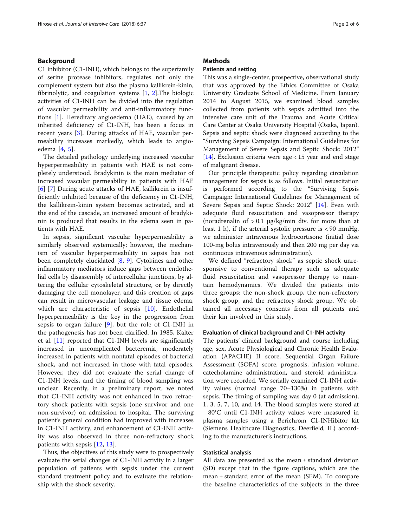## Background

C1 inhibitor (C1-INH), which belongs to the superfamily of serine protease inhibitors, regulates not only the complement system but also the plasma kallikrein-kinin, fibrinolytic, and coagulation systems [[1,](#page-4-0) [2\]](#page-4-0).The biologic activities of C1-INH can be divided into the regulation of vascular permeability and anti-inflammatory functions [[1\]](#page-4-0). Hereditary angioedema (HAE), caused by an inherited deficiency of C1-INH, has been a focus in recent years [\[3](#page-4-0)]. During attacks of HAE, vascular permeability increases markedly, which leads to angioedema [[4,](#page-4-0) [5](#page-4-0)].

The detailed pathology underlying increased vascular hyperpermeability in patients with HAE is not completely understood. Bradykinin is the main mediator of increased vascular permeability in patients with HAE [[6\]](#page-4-0) [[7\]](#page-4-0) During acute attacks of HAE, kallikrein is insufficiently inhibited because of the deficiency in C1-INH, the kallikrein-kinin system becomes activated, and at the end of the cascade, an increased amount of bradykinin is produced that results in the edema seen in patients with HAE.

In sepsis, significant vascular hyperpermeability is similarly observed systemically; however, the mechanism of vascular hyperpermeability in sepsis has not been completely elucidated [[8,](#page-5-0) [9](#page-5-0)]. Cytokines and other inflammatory mediators induce gaps between endothelial cells by disassembly of intercellular junctions, by altering the cellular cytoskeletal structure, or by directly damaging the cell monolayer, and this creation of gaps can result in microvascular leakage and tissue edema, which are characteristic of sepsis [[10\]](#page-5-0). Endothelial hyperpermeability is the key in the progression from sepsis to organ failure [\[9](#page-5-0)], but the role of C1-INH in the pathogenesis has not been clarified. In 1985, Kalter et al. [\[11](#page-5-0)] reported that C1-INH levels are significantly increased in uncomplicated bacteremia, moderately increased in patients with nonfatal episodes of bacterial shock, and not increased in those with fatal episodes. However, they did not evaluate the serial change of C1-INH levels, and the timing of blood sampling was unclear. Recently, in a preliminary report, we noted that C1-INH activity was not enhanced in two refractory shock patients with sepsis (one survivor and one non-survivor) on admission to hospital. The surviving patient's general condition had improved with increases in C1-INH activity, and enhancement of C1-INH activity was also observed in three non-refractory shock patients with sepsis [[12](#page-5-0), [13](#page-5-0)].

Thus, the objectives of this study were to prospectively evaluate the serial changes of C1-INH activity in a larger population of patients with sepsis under the current standard treatment policy and to evaluate the relationship with the shock severity.

### **Methods**

## Patients and setting

This was a single-center, prospective, observational study that was approved by the Ethics Committee of Osaka University Graduate School of Medicine. From January 2014 to August 2015, we examined blood samples collected from patients with sepsis admitted into the intensive care unit of the Trauma and Acute Critical Care Center at Osaka University Hospital (Osaka, Japan). Sepsis and septic shock were diagnosed according to the "Surviving Sepsis Campaign: International Guidelines for Management of Severe Sepsis and Septic Shock: 2012" [[14\]](#page-5-0). Exclusion criteria were age < 15 year and end stage of malignant disease.

Our principle therapeutic policy regarding circulation management for sepsis is as follows. Initial resuscitation is performed according to the "Surviving Sepsis Campaign: International Guidelines for Management of Severe Sepsis and Septic Shock: 2012" [[14\]](#page-5-0). Even with adequate fluid resuscitation and vasopressor therapy (noradrenalin of  $> 0.1$  µg/kg/min div. for more than at least 1 h), if the arterial systolic pressure is  $\langle 90 \text{ mmHg}$ , we administer intravenous hydrocortisone (initial dose 100-mg bolus intravenously and then 200 mg per day via continuous intravenous administration).

We defined "refractory shock" as septic shock unresponsive to conventional therapy such as adequate fluid resuscitation and vasopressor therapy to maintain hemodynamics. We divided the patients into three groups: the non-shock group, the non-refractory shock group, and the refractory shock group. We obtained all necessary consents from all patients and their kin involved in this study.

### Evaluation of clinical background and C1-INH activity

The patients' clinical background and course including age, sex, Acute Physiological and Chronic Health Evaluation (APACHE) II score, Sequential Organ Failure Assessment (SOFA) score, prognosis, infusion volume, catecholamine administration, and steroid administration were recorded. We serially examined C1-INH activity values (normal range 70–130%) in patients with sepsis. The timing of sampling was day 0 (at admission), 1, 3, 5, 7, 10, and 14. The blood samples were stored at − 80°C until C1-INH activity values were measured in plasma samples using a Berichrom C1-INHibitor kit (Siemens Healthcare Diagnostics, Deerfield, IL) according to the manufacturer's instructions.

### Statistical analysis

All data are presented as the mean  $\pm$  standard deviation (SD) except that in the figure captions, which are the mean ± standard error of the mean (SEM). To compare the baseline characteristics of the subjects in the three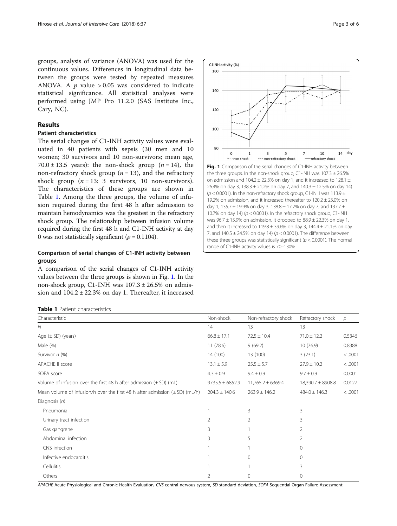<span id="page-2-0"></span>groups, analysis of variance (ANOVA) was used for the continuous values. Differences in longitudinal data between the groups were tested by repeated measures ANOVA. A  $p$  value > 0.05 was considered to indicate statistical significance. All statistical analyses were performed using JMP Pro 11.2.0 (SAS Institute Inc., Cary, NC).

## Results

## Patient characteristics

The serial changes of C1-INH activity values were evaluated in 40 patients with sepsis (30 men and 10 women; 30 survivors and 10 non-survivors; mean age, 70.0  $\pm$  13.5 years): the non-shock group (*n* = 14), the non-refractory shock group ( $n = 13$ ), and the refractory shock group  $(n = 13: 3$  survivors, 10 non-survivors). The characteristics of these groups are shown in Table 1. Among the three groups, the volume of infusion required during the first 48 h after admission to maintain hemodynamics was the greatest in the refractory shock group. The relationship between infusion volume required during the first 48 h and C1-INH activity at day 0 was not statistically significant ( $p = 0.1104$ ).

## Comparison of serial changes of C1-INH activity between groups

A comparison of the serial changes of C1-INH activity values between the three groups is shown in Fig. 1. In the non-shock group, C1-INH was  $107.3 \pm 26.5\%$  on admission and  $104.2 \pm 22.3\%$  on day 1. Thereafter, it increased

|  |  | <b>Table 1</b> Patient characteristics |
|--|--|----------------------------------------|
|--|--|----------------------------------------|



Fig. 1 Comparison of the serial changes of C1-INH activity between the three groups. In the non-shock group, C1-INH was  $107.3 \pm 26.5\%$ on admission and 104.2  $\pm$  22.3% on day 1, and it increased to 128.1  $\pm$ 26.4% on day 3, 138.3 ± 21.2% on day 7, and 140.3 ± 12.5% on day 14) ( $p$  < 0.0001). In the non-refractory shock group, C1-INH was 113.9  $\pm$ 19.2% on admission, and it increased thereafter to  $120.2 \pm 23.0\%$  on day 1, 135.7  $\pm$  19.9% on day 3, 138.8  $\pm$  17.2% on day 7, and 137.7  $\pm$ 10.7% on day 14) ( $p < 0.0001$ ). In the refractory shock group, C1-INH was  $96.7 \pm 15.9\%$  on admission, it dropped to  $88.9 \pm 22.3\%$  on day 1, and then it increased to  $119.8 \pm 39.6\%$  on day 3,  $144.4 \pm 21.1\%$  on day 7, and  $140.5 \pm 24.5\%$  on day 14) ( $p < 0.0001$ ). The difference between these three groups was statistically significant ( $p < 0.0001$ ). The normal range of C1-INH activity values is 70–130%

| Characteristic                                                                  | Non-shock           | Non-refractory shock  | Refractory shock      | $\mathcal{D}$ |
|---------------------------------------------------------------------------------|---------------------|-----------------------|-----------------------|---------------|
| N                                                                               | 14                  | 13                    | 13                    |               |
| Age $(\pm SD)$ (years)                                                          | $66.8 \pm 17.1$     | $72.5 \pm 10.4$       | $71.0 \pm 12.2$       | 0.5346        |
| Male (%)                                                                        | 11(78.6)            | 9(69.2)               | 10(76.9)              | 0.8388        |
| Survivor n (%)                                                                  | 14 (100)            | 13 (100)              | 3(23.1)               | < .0001       |
| APACHE II score                                                                 | $13.1 \pm 5.9$      | $25.5 \pm 5.7$        | $27.9 \pm 10.2$       | < .0001       |
| SOFA score                                                                      | $4.3 \pm 0.9$       | $9.4 \pm 0.9$         | $9.7 \pm 0.9$         | 0.0001        |
| Volume of infusion over the first 48 h after admission $(\pm SD)$ (mL)          | $9735.5 \pm 6852.9$ | $11,765.2 \pm 6369.4$ | $18,390.7 \pm 8908.8$ | 0.0127        |
| Mean volume of infusion/h over the first 48 h after admission $(\pm SD)$ (mL/h) | $204.3 \pm 140.6$   | $263.9 \pm 146.2$     | $484.0 \pm 146.3$     | < .0001       |
| Diagnosis $(n)$                                                                 |                     |                       |                       |               |
| Pneumonia                                                                       |                     | 3                     | 3                     |               |
| Urinary tract infection                                                         | 2                   | $\overline{2}$        | 3                     |               |
| Gas gangrene                                                                    | 3                   |                       | $\overline{2}$        |               |
| Abdominal infection                                                             | 3                   | 5                     | $\overline{2}$        |               |
| CNS infection                                                                   |                     |                       | $\Omega$              |               |
| Infective endocarditis                                                          |                     | $\Omega$              | $\Omega$              |               |
| Cellulitis                                                                      |                     |                       | 3                     |               |
| Others                                                                          | 2                   | $\Omega$              | $\mathbf 0$           |               |

APACHE Acute Physiological and Chronic Health Evaluation, CNS central nervous system, SD standard deviation, SOFA Sequential Organ Failure Assessment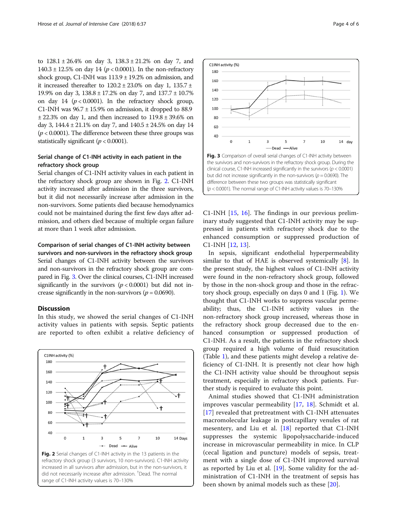to  $128.1 \pm 26.4\%$  on day 3,  $138.3 \pm 21.2\%$  on day 7, and 140.3 ± 12.5% on day 14 ( $p < 0.0001$ ). In the non-refractory shock group, C1-INH was  $113.9 \pm 19.2\%$  on admission, and it increased thereafter to  $120.2 \pm 23.0\%$  on day 1,  $135.7 \pm$ 19.9% on day 3, 138.8 ± 17.2% on day 7, and 137.7 ± 10.7% on day 14 ( $p < 0.0001$ ). In the refractory shock group, C1-INH was  $96.7 \pm 15.9\%$  on admission, it dropped to 88.9  $\pm$  22.3% on day 1, and then increased to 119.8  $\pm$  39.6% on day 3,  $144.4 \pm 21.1\%$  on day 7, and  $140.5 \pm 24.5\%$  on day 14  $(p < 0.0001)$ . The difference between these three groups was statistically significant ( $p < 0.0001$ ).

## Serial change of C1-INH activity in each patient in the refractory shock group

Serial changes of C1-INH activity values in each patient in the refractory shock group are shown in Fig. 2. C1-INH activity increased after admission in the three survivors, but it did not necessarily increase after admission in the non-survivors. Some patients died because hemodynamics could not be maintained during the first few days after admission, and others died because of multiple organ failure at more than 1 week after admission.

## Comparison of serial changes of C1-INH activity between

survivors and non-survivors in the refractory shock group Serial changes of C1-INH activity between the survivors and non-survivors in the refractory shock group are compared in Fig. 3. Over the clinical courses, C1-INH increased significantly in the survivors ( $p < 0.0001$ ) but did not increase significantly in the non-survivors ( $p = 0.0690$ ).

## **Discussion**

In this study, we showed the serial changes of C1-INH activity values in patients with sepsis. Septic patients are reported to often exhibit a relative deficiency of







C1-INH [[15,](#page-5-0) [16\]](#page-5-0). The findings in our previous preliminary study suggested that C1-INH activity may be suppressed in patients with refractory shock due to the enhanced consumption or suppressed production of C1-INH [[12,](#page-5-0) [13](#page-5-0)].

In sepsis, significant endothelial hyperpermeability similar to that of HAE is observed systemically [\[8](#page-5-0)]. In the present study, the highest values of C1-INH activity were found in the non-refractory shock group, followed by those in the non-shock group and those in the refractory shock group, especially on days 0 and 1 (Fig. [1\)](#page-2-0). We thought that C1-INH works to suppress vascular permeability; thus, the C1-INH activity values in the non-refractory shock group increased, whereas those in the refractory shock group decreased due to the enhanced consumption or suppressed production of C1-INH. As a result, the patients in the refractory shock group required a high volume of fluid resuscitation (Table [1](#page-2-0)), and these patients might develop a relative deficiency of C1-INH. It is presently not clear how high the C1-INH activity value should be throughout sepsis treatment, especially in refractory shock patients. Further study is required to evaluate this point.

Animal studies showed that C1-INH administration improves vascular permeability [[17](#page-5-0), [18\]](#page-5-0). Schmidt et al. [[17\]](#page-5-0) revealed that pretreatment with C1-INH attenuates macromolecular leakage in postcapillary venules of rat mesentery, and Liu et al. [\[18](#page-5-0)] reported that C1-INH suppresses the systemic lipopolysaccharide-induced increase in microvascular permeability in mice. In CLP (cecal ligation and puncture) models of sepsis, treatment with a single dose of C1-INH improved survival as reported by Liu et al. [[19\]](#page-5-0). Some validity for the administration of C1-INH in the treatment of sepsis has been shown by animal models such as these [[20\]](#page-5-0).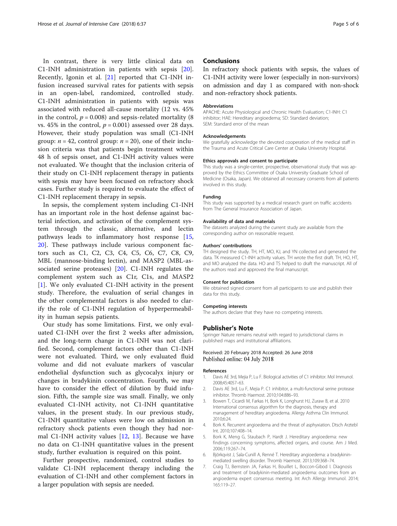<span id="page-4-0"></span>In contrast, there is very little clinical data on C1-INH administration in patients with sepsis [\[20](#page-5-0)]. Recently, Igonin et al. [[21\]](#page-5-0) reported that C1-INH infusion increased survival rates for patients with sepsis in an open-label, randomized, controlled study. C1-INH administration in patients with sepsis was associated with reduced all-cause mortality (12 vs. 45% in the control,  $p = 0.008$ ) and sepsis-related mortality (8) vs. 45% in the control,  $p = 0.001$ ) assessed over 28 days. However, their study population was small (C1-INH group:  $n = 42$ , control group:  $n = 20$ ), one of their inclusion criteria was that patients begin treatment within 48 h of sepsis onset, and C1-INH activity values were not evaluated. We thought that the inclusion criteria of their study on C1-INH replacement therapy in patients with sepsis may have been focused on refractory shock cases. Further study is required to evaluate the effect of C1-INH replacement therapy in sepsis.

In sepsis, the complement system including C1-INH has an important role in the host defense against bacterial infection, and activation of the complement system through the classic, alternative, and lectin pathways leads to inflammatory host response [\[15](#page-5-0), [20\]](#page-5-0). These pathways include various component factors such as C1, C2, C3, C4, C5, C6, C7, C8, C9, MBL (mannose-binding lectin), and MASP2 (MBL-associated serine proteases) [[20\]](#page-5-0). C1-INH regulates the complement system such as C1r, C1s, and MASP2 [1]. We only evaluated C1-INH activity in the present study. Therefore, the evaluation of serial changes in the other complemental factors is also needed to clarify the role of C1-INH regulation of hyperpermeability in human sepsis patients.

Our study has some limitations. First, we only evaluated C1-INH over the first 2 weeks after admission, and the long-term change in C1-INH was not clarified. Second, complement factors other than C1-INH were not evaluated. Third, we only evaluated fluid volume and did not evaluate markers of vascular endothelial dysfunction such as glycocalyx injury or changes in bradykinin concentration. Fourth, we may have to consider the effect of dilution by fluid infusion. Fifth, the sample size was small. Finally, we only evaluated C1-INH activity, not C1-INH quantitative values, in the present study. In our previous study, C1-INH quantitative values were low on admission in refractory shock patients even though they had normal C1-INH activity values [[12](#page-5-0), [13\]](#page-5-0). Because we have no data on C1-INH quantitative values in the present study, further evaluation is required on this point.

Further prospective, randomized, control studies to validate C1-INH replacement therapy including the evaluation of C1-INH and other complement factors in a larger population with sepsis are needed.

## **Conclusions**

In refractory shock patients with sepsis, the values of C1-INH activity were lower (especially in non-survivors) on admission and day 1 as compared with non-shock and non-refractory shock patients.

#### Abbreviations

APACHE: Acute Physiological and Chronic Health Evaluation; C1-INH: C1 inhibitor; HAE: Hereditary angioedema; SD: Standard deviation; SEM: Standard error of the mean

#### Acknowledgements

We gratefully acknowledge the devoted cooperation of the medical staff in the Trauma and Acute Critical Care Center at Osaka University Hospital.

#### Ethics approvals and consent to participate

This study was a single-center, prospective, observational study that was approved by the Ethics Committee of Osaka University Graduate School of Medicine (Osaka, Japan). We obtained all necessary consents from all patients involved in this study.

#### Funding

This study was supported by a medical research grant on traffic accidents from The General Insurance Association of Japan.

#### Availability of data and materials

The datasets analyzed during the current study are available from the corresponding author on reasonable request.

#### Authors' contributions

TH designed the study. TH, HT, MO, KJ, and YN collected and generated the data. TK measured C1-INH activity values. TH wrote the first draft. TH, HO, HT, and MO analyzed the data. HO and TS helped to draft the manuscript. All of the authors read and approved the final manuscript.

#### Consent for publication

We obtained signed consent from all participants to use and publish their data for this study.

#### Competing interests

The authors declare that they have no competing interests.

#### Publisher's Note

Springer Nature remains neutral with regard to jurisdictional claims in published maps and institutional affiliations.

#### Received: 20 February 2018 Accepted: 26 June 2018 Published online: 04 July 2018

#### References

- 1. Davis AE 3rd, Mejia P, Lu F. Biological activities of C1 inhibitor. Mol Immunol. 2008;45:4057–63.
- Davis AE 3rd, Lu F, Mejia P. C1 inhibitor, a multi-functional serine protease inhibitor. Thromb Haemost. 2010;104:886–93.
- 3. Bowen T, Cicardi M, Farkas H, Bork K, Longhurst HJ, Zuraw B, et al. 2010 International consensus algorithm for the diagnosis, therapy and management of hereditary angioedema. Allergy Asthma Clin Immunol. 2010;6:24.
- 4. Bork K. Recurrent angioedema and the threat of asphyxiation. Dtsch Arztebl Int. 2010;107:408–14.
- 5. Bork K, Meng G, Staubach P, Hardt J. Hereditary angioedema: new findings concerning symptoms, affected organs, and course. Am J Med. 2006;119:267–74.
- 6. Björkqvist J, Sala-Cunill A, Renné T. Hereditary angioedema: a bradykininmediated swelling disorder. Thromb Haemost. 2013;109:368–74.
- 7. Craig TJ, Bernstein JA, Farkas H, Bouillet L, Boccon-Gibod I. Diagnosis and treatment of bradykinin-mediated angioedema: outcomes from an angioedema expert consensus meeting. Int Arch Allergy Immunol. 2014; 165:119–27.